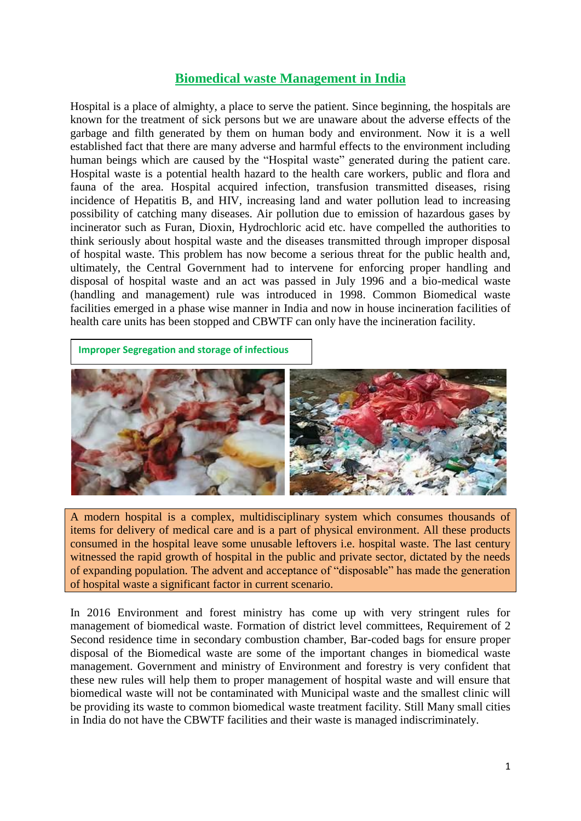## **Biomedical waste Management in India**

Hospital is a place of almighty, a place to serve the patient. Since beginning, the hospitals are known for the treatment of sick persons but we are unaware about the adverse effects of the garbage and filth generated by them on human body and environment. Now it is a well established fact that there are many adverse and harmful effects to the environment including human beings which are caused by the "Hospital waste" generated during the patient care. Hospital waste is a potential health hazard to the health care workers, public and flora and fauna of the area. Hospital acquired infection, transfusion transmitted diseases, rising incidence of Hepatitis B, and HIV, increasing land and water pollution lead to increasing possibility of catching many diseases. Air pollution due to emission of hazardous gases by incinerator such as Furan, Dioxin, Hydrochloric acid etc. have compelled the authorities to think seriously about hospital waste and the diseases transmitted through improper disposal of hospital waste. This problem has now become a serious threat for the public health and, ultimately, the Central Government had to intervene for enforcing proper handling and disposal of hospital waste and an act was passed in July 1996 and a bio-medical waste (handling and management) rule was introduced in 1998. Common Biomedical waste facilities emerged in a phase wise manner in India and now in house incineration facilities of health care units has been stopped and CBWTF can only have the incineration facility.

**Improper Segregation and storage of infectious** 



A modern hospital is a complex, multidisciplinary system which consumes thousands of items for delivery of medical care and is a part of physical environment. All these products consumed in the hospital leave some unusable leftovers i.e. hospital waste. The last century witnessed the rapid growth of hospital in the public and private sector, dictated by the needs of expanding population. The advent and acceptance of "disposable" has made the generation of hospital waste a significant factor in current scenario.

In 2016 Environment and forest ministry has come up with very stringent rules for management of biomedical waste. Formation of district level committees, Requirement of 2 Second residence time in secondary combustion chamber, Bar-coded bags for ensure proper disposal of the Biomedical waste are some of the important changes in biomedical waste management. Government and ministry of Environment and forestry is very confident that these new rules will help them to proper management of hospital waste and will ensure that biomedical waste will not be contaminated with Municipal waste and the smallest clinic will be providing its waste to common biomedical waste treatment facility. Still Many small cities in India do not have the CBWTF facilities and their waste is managed indiscriminately.